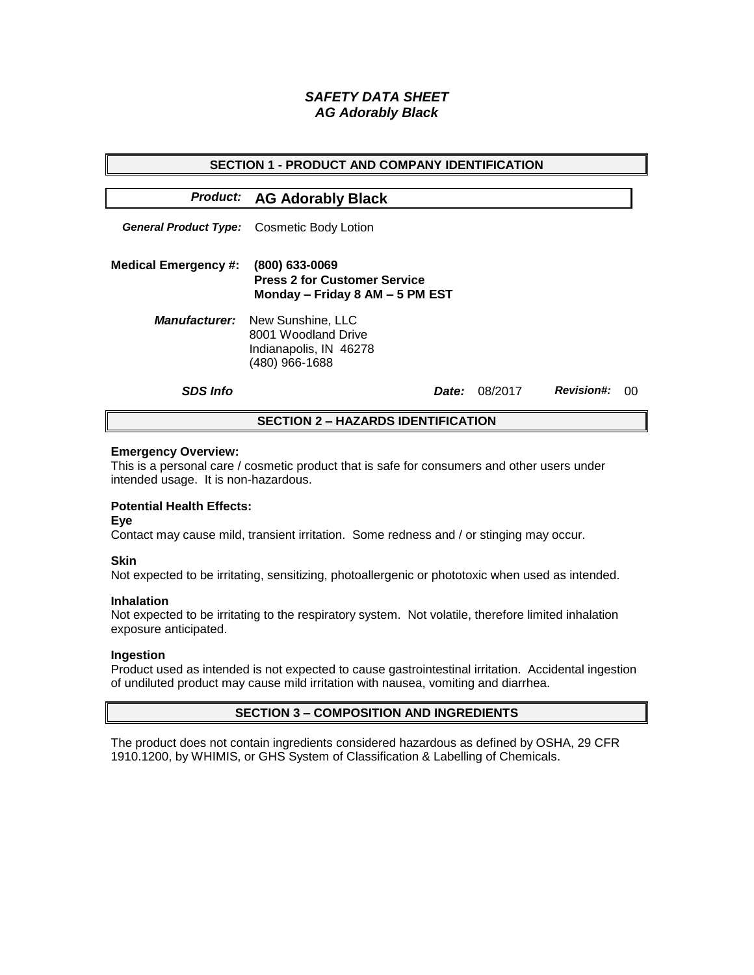# *SAFETY DATA SHEET AG Adorably Black*

| <b>SECTION 1 - PRODUCT AND COMPANY IDENTIFICATION</b> |                                                                                                           |              |         |                   |    |  |
|-------------------------------------------------------|-----------------------------------------------------------------------------------------------------------|--------------|---------|-------------------|----|--|
|                                                       | <b>Product: AG Adorably Black</b>                                                                         |              |         |                   |    |  |
|                                                       | <b>General Product Type:</b> Cosmetic Body Lotion                                                         |              |         |                   |    |  |
| <b>Medical Emergency #:</b>                           | (800) 633-0069<br><b>Press 2 for Customer Service</b><br>Monday - Friday 8 AM - 5 PM EST                  |              |         |                   |    |  |
|                                                       | <b>Manufacturer:</b> New Sunshine, LLC<br>8001 Woodland Drive<br>Indianapolis, IN 46278<br>(480) 966-1688 |              |         |                   |    |  |
| <b>SDS Info</b>                                       |                                                                                                           | <i>Date:</i> | 08/2017 | <b>Revision#:</b> | ററ |  |
| <b>SECTION 2 - HAZARDS IDENTIFICATION</b>             |                                                                                                           |              |         |                   |    |  |

#### **Emergency Overview:**

This is a personal care / cosmetic product that is safe for consumers and other users under intended usage. It is non-hazardous.

## **Potential Health Effects:**

**Eye**

Contact may cause mild, transient irritation. Some redness and / or stinging may occur.

### **Skin**

Not expected to be irritating, sensitizing, photoallergenic or phototoxic when used as intended.

#### **Inhalation**

Not expected to be irritating to the respiratory system. Not volatile, therefore limited inhalation exposure anticipated.

### **Ingestion**

Product used as intended is not expected to cause gastrointestinal irritation. Accidental ingestion of undiluted product may cause mild irritation with nausea, vomiting and diarrhea.

### **SECTION 3 – COMPOSITION AND INGREDIENTS**

The product does not contain ingredients considered hazardous as defined by OSHA, 29 CFR 1910.1200, by WHIMIS, or GHS System of Classification & Labelling of Chemicals.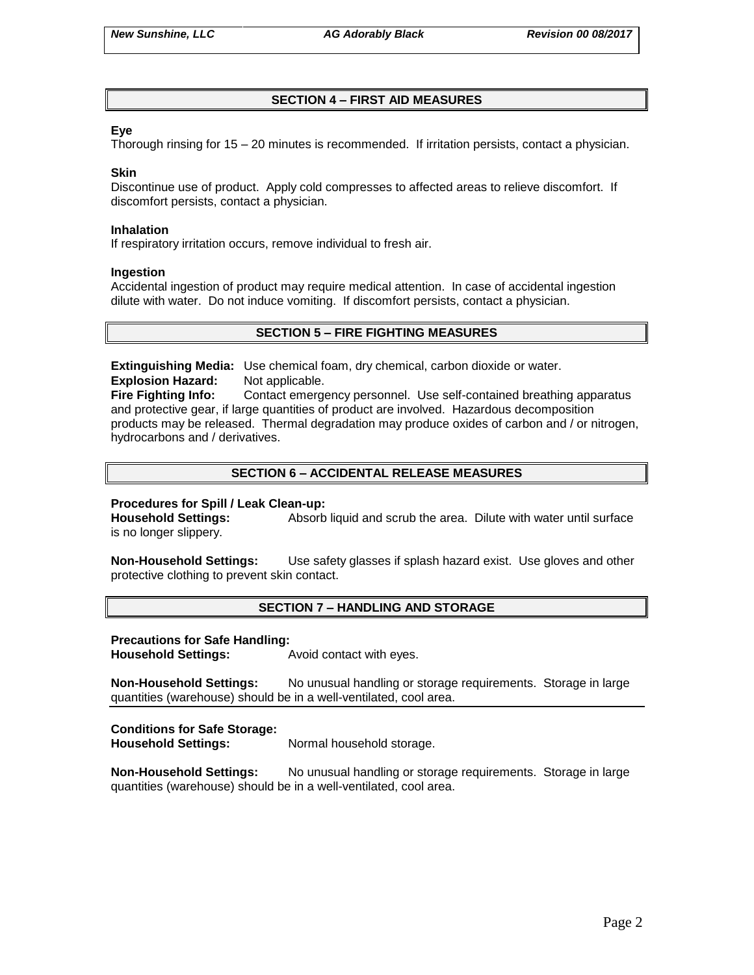## **SECTION 4 – FIRST AID MEASURES**

### **Eye**

Thorough rinsing for 15 – 20 minutes is recommended. If irritation persists, contact a physician.

#### **Skin**

Discontinue use of product. Apply cold compresses to affected areas to relieve discomfort. If discomfort persists, contact a physician.

#### **Inhalation**

If respiratory irritation occurs, remove individual to fresh air.

#### **Ingestion**

Accidental ingestion of product may require medical attention. In case of accidental ingestion dilute with water. Do not induce vomiting. If discomfort persists, contact a physician.

### **SECTION 5 – FIRE FIGHTING MEASURES**

**Extinguishing Media:** Use chemical foam, dry chemical, carbon dioxide or water. **Explosion Hazard:** Not applicable.

**Fire Fighting Info:** Contact emergency personnel. Use self-contained breathing apparatus and protective gear, if large quantities of product are involved. Hazardous decomposition products may be released. Thermal degradation may produce oxides of carbon and / or nitrogen, hydrocarbons and / derivatives.

## **SECTION 6 – ACCIDENTAL RELEASE MEASURES**

### **Procedures for Spill / Leak Clean-up:**

**Household Settings:** Absorb liquid and scrub the area. Dilute with water until surface is no longer slippery.

**Non-Household Settings:** Use safety glasses if splash hazard exist. Use gloves and other protective clothing to prevent skin contact.

### **SECTION 7 – HANDLING AND STORAGE**

#### **Precautions for Safe Handling:**

**Household Settings:** Avoid contact with eyes.

**Non-Household Settings:** No unusual handling or storage requirements. Storage in large quantities (warehouse) should be in a well-ventilated, cool area.

### **Conditions for Safe Storage:**

**Household Settings:** Normal household storage.

**Non-Household Settings:** No unusual handling or storage requirements. Storage in large quantities (warehouse) should be in a well-ventilated, cool area.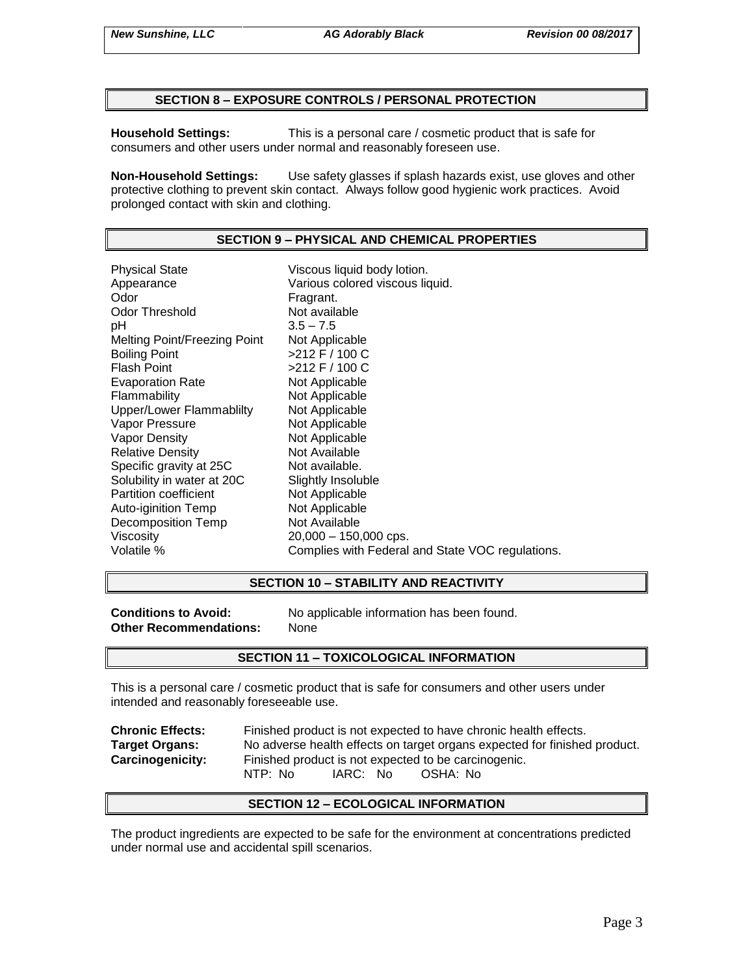### **SECTION 8 – EXPOSURE CONTROLS / PERSONAL PROTECTION**

**Household Settings:** This is a personal care / cosmetic product that is safe for consumers and other users under normal and reasonably foreseen use.

**Non-Household Settings:** Use safety glasses if splash hazards exist, use gloves and other protective clothing to prevent skin contact. Always follow good hygienic work practices. Avoid prolonged contact with skin and clothing.

### **SECTION 9 – PHYSICAL AND CHEMICAL PROPERTIES**

Physical State Viscous liquid body lotion. Appearance **Various colored viscous liquid.**<br>
Odor Communication Colore Fragrant. Odor Threshold Not available pH 3.5 – 7.5 Melting Point/Freezing Point Not Applicable Boiling Point >212 F / 100 C Flash Point  $>212$  F / 100 C Evaporation Rate Not Applicable Flammability Not Applicable Upper/Lower Flammablilty Not Applicable Vapor Pressure Not Applicable Vapor Density Not Applicable Relative Density Not Available Specific gravity at 25C Not available. Solubility in water at 20C Slightly Insoluble<br>
Partition coefficient
Subsetted Not Applicable Partition coefficient Auto-iginition Temp Not Applicable Decomposition Temp Not Available Viscosity 20,000 – 150,000 cps. Volatile % Complies with Federal and State VOC regulations.

### **SECTION 10 – STABILITY AND REACTIVITY**

**Other Recommendations:** None

**Conditions to Avoid:** No applicable information has been found.

### **SECTION 11 – TOXICOLOGICAL INFORMATION**

This is a personal care / cosmetic product that is safe for consumers and other users under intended and reasonably foreseeable use.

**Chronic Effects:** Finished product is not expected to have chronic health effects. **Target Organs:** No adverse health effects on target organs expected for finished product. **Carcinogenicity:** Finished product is not expected to be carcinogenic. NTP: No IARC: No OSHA: No

### **SECTION 12 – ECOLOGICAL INFORMATION**

The product ingredients are expected to be safe for the environment at concentrations predicted under normal use and accidental spill scenarios.